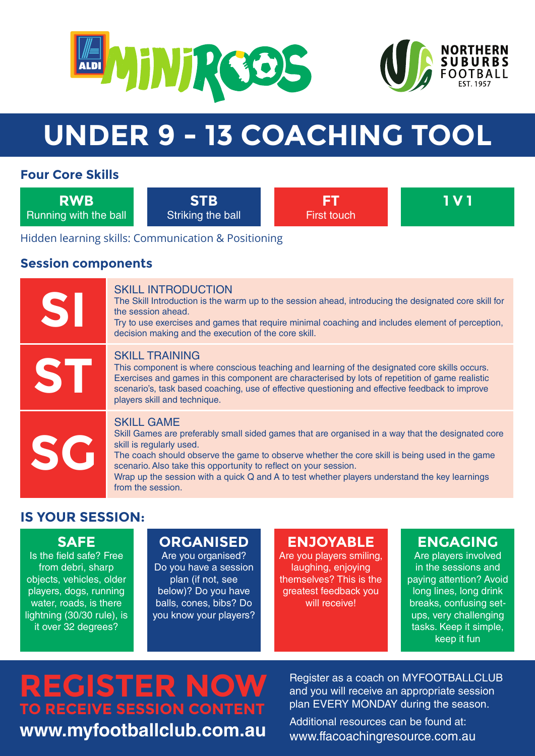



# **UNDER 9 - 13 COACHING TOOL**

#### **Four Core Skills**

**RWB** Running with the ball

**STB** Striking the ball

**FT** First touch **1 V 1**

Hidden learning skills: Communication & Positioning

#### **Session components**

| SI        | <b>SKILL INTRODUCTION</b><br>The Skill Introduction is the warm up to the session ahead, introducing the designated core skill for<br>the session ahead.<br>Try to use exercises and games that require minimal coaching and includes element of perception,<br>decision making and the execution of the core skill.                                                                                                                          |
|-----------|-----------------------------------------------------------------------------------------------------------------------------------------------------------------------------------------------------------------------------------------------------------------------------------------------------------------------------------------------------------------------------------------------------------------------------------------------|
| <b>ST</b> | <b>SKILL TRAINING</b><br>This component is where conscious teaching and learning of the designated core skills occurs.<br>Exercises and games in this component are characterised by lots of repetition of game realistic<br>scenario's, task based coaching, use of effective questioning and effective feedback to improve<br>players skill and technique.                                                                                  |
| SG        | <b>SKILL GAME</b><br>Skill Games are preferably small sided games that are organised in a way that the designated core<br>skill is regularly used.<br>The coach should observe the game to observe whether the core skill is being used in the game<br>scenario. Also take this opportunity to reflect on your session.<br>Wrap up the session with a quick Q and A to test whether players understand the key learnings<br>from the session. |

## **IS YOUR SESSION:**

## **SAFE**

Is the field safe? Free from debri, sharp objects, vehicles, older players, dogs, running water, roads, is there lightning (30/30 rule), is it over 32 degrees?

# **ORGANISED**

Are you organised? Do you have a session plan (if not, see below)? Do you have balls, cones, bibs? Do you know your players?

## **ENJOYABLE**

Are you players smiling, laughing, enjoying themselves? This is the greatest feedback you will receive!

## **ENGAGING**

Are players involved in the sessions and paying attention? Avoid long lines, long drink breaks, confusing setups, very challenging tasks. Keep it simple, keep it fun

# **REGISTER NOW TO RECEIVE SESSION CONTENT www.myfootballclub.com.au**

Register as a coach on MYFOOTBALLCLUB and you will receive an appropriate session plan EVERY MONDAY during the season.

Additional resources can be found at: www.ffacoachingresource.com.au